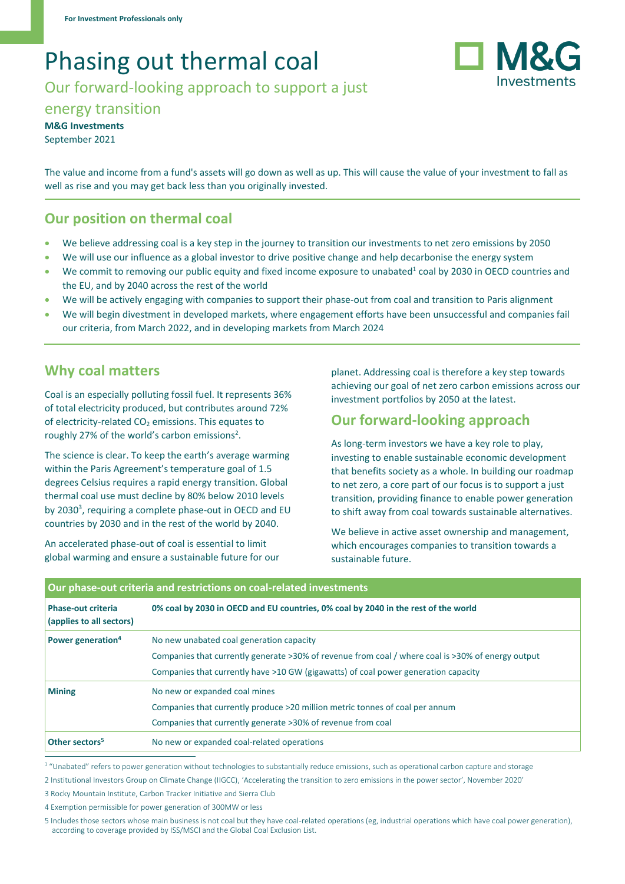# Phasing out thermal coal

Our forward-looking approach to support a just



**M&G Investments** September 2021

The value and income from a fund's assets will go down as well as up. This will cause the value of your investment to fall as well as rise and you may get back less than you originally invested.

# **Our position on thermal coal**

- We believe addressing coal is a key step in the journey to transition our investments to net zero emissions by 2050
- We will use our influence as a global investor to drive positive change and help decarbonise the energy system
- We commit to removing our public equity and fixed income exposure to unabated<sup>1</sup> coal by 2030 in OECD countries and the EU, and by 2040 across the rest of the world
- We will be actively engaging with companies to support their phase-out from coal and transition to Paris alignment
- We will begin divestment in developed markets, where engagement efforts have been unsuccessful and companies fail our criteria, from March 2022, and in developing markets from March 2024

### **Why coal matters**

Coal is an especially polluting fossil fuel. It represents 36% of total electricity produced, but contributes around 72% of electricity-related  $CO<sub>2</sub>$  emissions. This equates to roughly 27% of the world's carbon emissions<sup>2</sup>.

The science is clear. To keep the earth's average warming within the Paris Agreement's temperature goal of 1.5 degrees Celsius requires a rapid energy transition. Global thermal coal use must decline by 80% below 2010 levels by 2030<sup>3</sup>, requiring a complete phase-out in OECD and EU countries by 2030 and in the rest of the world by 2040.

An accelerated phase-out of coal is essential to limit global warming and ensure a sustainable future for our planet. Addressing coal is therefore a key step towards achieving our goal of net zero carbon emissions across our investment portfolios by 2050 at the latest.

# **Our forward-looking approach**

As long-term investors we have a key role to play, investing to enable sustainable economic development that benefits society as a whole. In building our roadmap to net zero, a core part of our focus is to support a just transition, providing finance to enable power generation to shift away from coal towards sustainable alternatives.

We believe in active asset ownership and management, which encourages companies to transition towards a sustainable future.

| Our phase-out criteria and restrictions on coal-related investments |                                                                                                   |
|---------------------------------------------------------------------|---------------------------------------------------------------------------------------------------|
| <b>Phase-out criteria</b><br>(applies to all sectors)               | 0% coal by 2030 in OECD and EU countries, 0% coal by 2040 in the rest of the world                |
| Power generation <sup>4</sup>                                       | No new unabated coal generation capacity                                                          |
|                                                                     | Companies that currently generate >30% of revenue from coal / where coal is >30% of energy output |
|                                                                     | Companies that currently have >10 GW (gigawatts) of coal power generation capacity                |
| <b>Mining</b>                                                       | No new or expanded coal mines                                                                     |
|                                                                     | Companies that currently produce >20 million metric tonnes of coal per annum                      |
|                                                                     | Companies that currently generate >30% of revenue from coal                                       |
| Other sectors <sup>5</sup>                                          | No new or expanded coal-related operations                                                        |

 $^{\rm 1}$  "Unabated" refers to power generation without technologies to substantially reduce emissions, such as operational carbon capture and storage

2 Institutional Investors Group on Climate Change (IIGCC), 'Accelerating the transition to zero emissions in the power sector', November 2020'

3 Rocky Mountain Institute, Carbon Tracker Initiative and Sierra Club

4 Exemption permissible for power generation of 300MW or less

5 Includes those sectors whose main business is not coal but they have coal-related operations (eg, industrial operations which have coal power generation), according to coverage provided by ISS/MSCI and the Global Coal Exclusion List.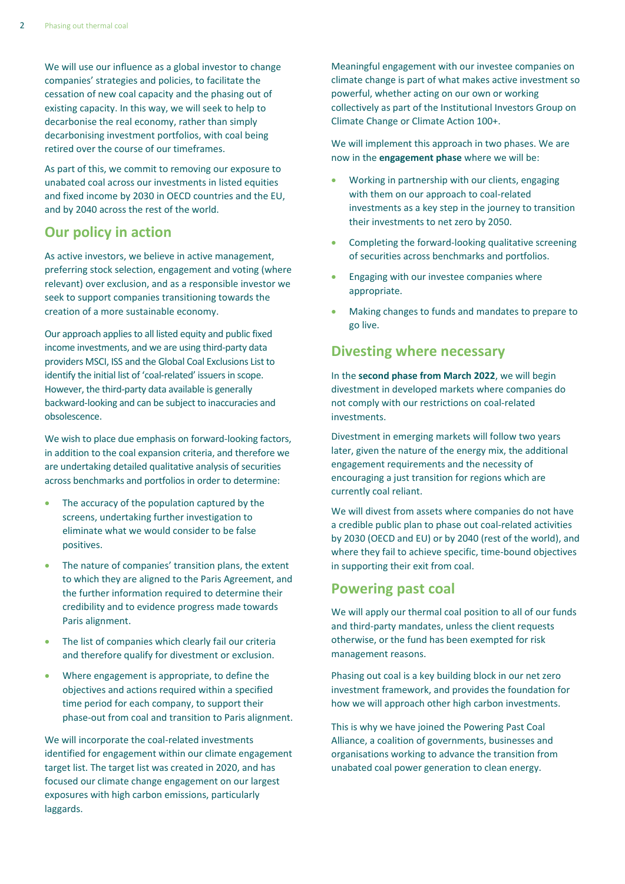We will use our influence as a global investor to change companies' strategies and policies, to facilitate the cessation of new coal capacity and the phasing out of existing capacity. In this way, we will seek to help to decarbonise the real economy, rather than simply decarbonising investment portfolios, with coal being retired over the course of our timeframes.

As part of this, we commit to removing our exposure to unabated coal across our investments in listed equities and fixed income by 2030 in OECD countries and the EU, and by 2040 across the rest of the world.

## **Our policy in action**

As active investors, we believe in active management, preferring stock selection, engagement and voting (where relevant) over exclusion, and as a responsible investor we seek to support companies transitioning towards the creation of a more sustainable economy.

Our approach applies to all listed equity and public fixed income investments, and we are using third-party data providers MSCI, ISS and the Global Coal Exclusions List to identify the initial list of 'coal-related' issuers in scope. However, the third-party data available is generally backward-looking and can be subject to inaccuracies and obsolescence.

We wish to place due emphasis on forward-looking factors, in addition to the coal expansion criteria, and therefore we are undertaking detailed qualitative analysis of securities across benchmarks and portfolios in order to determine:

- The accuracy of the population captured by the screens, undertaking further investigation to eliminate what we would consider to be false positives.
- The nature of companies' transition plans, the extent to which they are aligned to the Paris Agreement, and the further information required to determine their credibility and to evidence progress made towards Paris alignment.
- The list of companies which clearly fail our criteria and therefore qualify for divestment or exclusion.
- Where engagement is appropriate, to define the objectives and actions required within a specified time period for each company, to support their phase-out from coal and transition to Paris alignment.

We will incorporate the coal-related investments identified for engagement within our climate engagement target list. The target list was created in 2020, and has focused our climate change engagement on our largest exposures with high carbon emissions, particularly laggards.

Meaningful engagement with our investee companies on climate change is part of what makes active investment so powerful, whether acting on our own or working collectively as part of the Institutional Investors Group on Climate Change or Climate Action 100+.

We will implement this approach in two phases. We are now in the **engagement phase** where we will be:

- Working in partnership with our clients, engaging with them on our approach to coal-related investments as a key step in the journey to transition their investments to net zero by 2050.
- Completing the forward-looking qualitative screening of securities across benchmarks and portfolios.
- Engaging with our investee companies where appropriate.
- Making changes to funds and mandates to prepare to go live.

#### **Divesting where necessary**

In the **second phase from March 2022**, we will begin divestment in developed markets where companies do not comply with our restrictions on coal-related investments.

Divestment in emerging markets will follow two years later, given the nature of the energy mix, the additional engagement requirements and the necessity of encouraging a just transition for regions which are currently coal reliant.

We will divest from assets where companies do not have a credible public plan to phase out coal-related activities by 2030 (OECD and EU) or by 2040 (rest of the world), and where they fail to achieve specific, time-bound objectives in supporting their exit from coal.

#### **Powering past coal**

We will apply our thermal coal position to all of our funds and third-party mandates, unless the client requests otherwise, or the fund has been exempted for risk management reasons.

Phasing out coal is a key building block in our net zero investment framework, and provides the foundation for how we will approach other high carbon investments.

This is why we have joined the Powering Past Coal Alliance, a coalition of governments, businesses and organisations working to advance the transition from unabated coal power generation to clean energy.